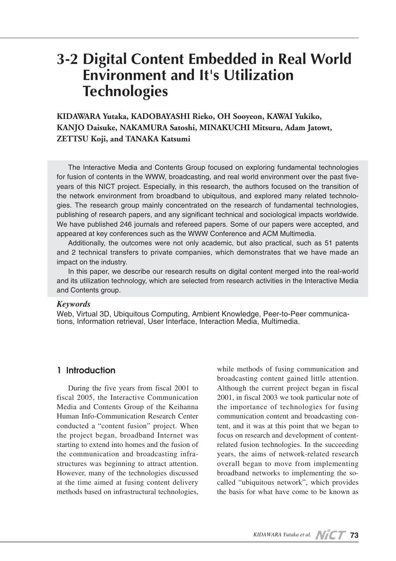# **3-2 Digital Content Embedded in Real World Environment and It's Utilization Technologies**

# **KIDAWARA Yutaka, KADOBAYASHI Rieko, OH Sooyeon, KAWAI Yukiko, KANJO Daisuke, NAKAMURA Satoshi, MINAKUCHI Mitsuru, Adam Jatowt, ZETTSU Koji, and TANAKA Katsumi**

The Interactive Media and Contents Group focused on exploring fundamental technologies for fusion of contents in the WWW, broadcasting, and real world environment over the past fiveyears of this NICT project. Especially, in this research, the authors focused on the transition of the network environment from broadband to ubiquitous, and explored many related technologies. The research group mainly concentrated on the research of fundamental technologies, publishing of research papers, and any significant technical and sociological impacts worldwide. We have published 246 journals and refereed papers. Some of our papers were accepted, and appeared at key conferences such as the WWW Conference and ACM Multimedia.

Additionally, the outcomes were not only academic, but also practical, such as 51 patents and 2 technical transfers to private companies, which demonstrates that we have made an impact on the industry.

In this paper, we describe our research results on digital content merged into the real-world and its utilization technology, which are selected from research activities in the Interactive Media and Contents group.

### *Keywords*

Web, Virtual 3D, Ubiquitous Computing, Ambient Knowledge, Peer-to-Peer communications, Information retrieval, User Interface, Interaction Media, Multimedia.

### **1 Introduction**

During the five years from fiscal 2001 to fiscal 2005, the Interactive Communication Media and Contents Group of the Keihanna Human Info-Communication Research Center conducted a "content fusion" project. When the project began, broadband Internet was starting to extend into homes and the fusion of the communication and broadcasting infrastructures was beginning to attract attention. However, many of the technologies discussed at the time aimed at fusing content delivery methods based on infrastructural technologies,

while methods of fusing communication and broadcasting content gained little attention. Although the current project began in fiscal 2001, in fiscal 2003 we took particular note of the importance of technologies for fusing communication content and broadcasting content, and it was at this point that we began to focus on research and development of contentrelated fusion technologies. In the succeeding years, the aims of network-related research overall began to move from implementing broadband networks to implementing the socalled "ubiquitous network", which provides the basis for what have come to be known as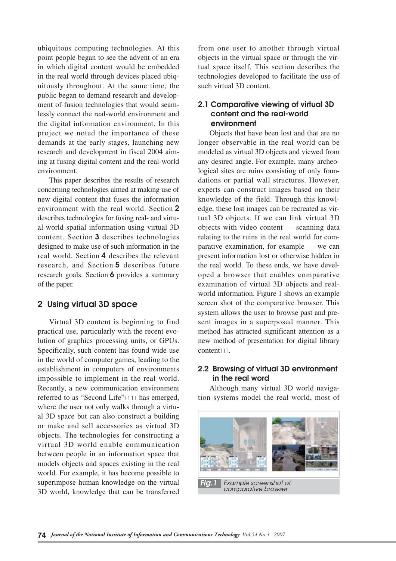ubiquitous computing technologies. At this point people began to see the advent of an era in which digital content would be embedded in the real world through devices placed ubiquitously throughout. At the same time, the public began to demand research and development of fusion technologies that would seamlessly connect the real-world environment and the digital information environment. In this project we noted the importance of these demands at the early stages, launching new research and development in fiscal 2004 aiming at fusing digital content and the real-world environment.

This paper describes the results of research concerning technologies aimed at making use of new digital content that fuses the information environment with the real world. Section **2** describes technologies for fusing real- and virtual-world spatial information using virtual 3D content. Section **3** describes technologies designed to make use of such information in the real world. Section **4** describes the relevant research, and Section **5** describes future research goals. Section **6** provides a summary of the paper.

### **2 Using virtual 3D space**

Virtual 3D content is beginning to find practical use, particularly with the recent evolution of graphics processing units, or GPUs. Specifically, such content has found wide use in the world of computer games, leading to the establishment in computers of environments impossible to implement in the real world. Recently, a new communication environment referred to as "Second Life"[11] has emerged, where the user not only walks through a virtual 3D space but can also construct a building or make and sell accessories as virtual 3D objects. The technologies for constructing a virtual 3D world enable communication between people in an information space that models objects and spaces existing in the real world. For example, it has become possible to superimpose human knowledge on the virtual 3D world, knowledge that can be transferred

from one user to another through virtual objects in the virtual space or through the virtual space itself. This section describes the technologies developed to facilitate the use of such virtual 3D content.

### **2.1 Comparative viewing of virtual 3D content and the real-world environment**

Objects that have been lost and that are no longer observable in the real world can be modeled as virtual 3D objects and viewed from any desired angle. For example, many archeological sites are ruins consisting of only foundations or partial wall structures. However, experts can construct images based on their knowledge of the field. Through this knowledge, these lost images can be recreated as virtual 3D objects. If we can link virtual 3D objects with video content — scanning data relating to the ruins in the real world for comparative examination, for example — we can present information lost or otherwise hidden in the real world. To these ends, we have developed a browser that enables comparative examination of virtual 3D objects and realworld information. Figure 1 shows an example screen shot of the comparative browser. This system allows the user to browse past and present images in a superposed manner. This method has attracted significant attention as a new method of presentation for digital library content[1].

## **2.2 Browsing of virtual 3D environment in the real word**

Although many virtual 3D world navigation systems model the real world, most of

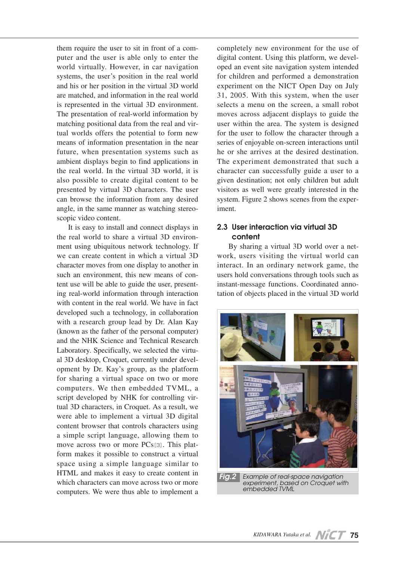them require the user to sit in front of a computer and the user is able only to enter the world virtually. However, in car navigation systems, the user's position in the real world and his or her position in the virtual 3D world are matched, and information in the real world is represented in the virtual 3D environment. The presentation of real-world information by matching positional data from the real and virtual worlds offers the potential to form new means of information presentation in the near future, when presentation systems such as ambient displays begin to find applications in the real world. In the virtual 3D world, it is also possible to create digital content to be presented by virtual 3D characters. The user can browse the information from any desired angle, in the same manner as watching stereoscopic video content.

It is easy to install and connect displays in the real world to share a virtual 3D environment using ubiquitous network technology. If we can create content in which a virtual 3D character moves from one display to another in such an environment, this new means of content use will be able to guide the user, presenting real-world information through interaction with content in the real world. We have in fact developed such a technology, in collaboration with a research group lead by Dr. Alan Kay (known as the father of the personal computer) and the NHK Science and Technical Research Laboratory. Specifically, we selected the virtual 3D desktop, Croquet, currently under development by Dr. Kay's group, as the platform for sharing a virtual space on two or more computers. We then embedded TVML, a script developed by NHK for controlling virtual 3D characters, in Croquet. As a result, we were able to implement a virtual 3D digital content browser that controls characters using a simple script language, allowing them to move across two or more PCs[3]. This platform makes it possible to construct a virtual space using a simple language similar to HTML and makes it easy to create content in which characters can move across two or more computers. We were thus able to implement a

completely new environment for the use of digital content. Using this platform, we developed an event site navigation system intended for children and performed a demonstration experiment on the NICT Open Day on July 31, 2005. With this system, when the user selects a menu on the screen, a small robot moves across adjacent displays to guide the user within the area. The system is designed for the user to follow the character through a series of enjoyable on-screen interactions until he or she arrives at the desired destination. The experiment demonstrated that such a character can successfully guide a user to a given destination; not only children but adult visitors as well were greatly interested in the system. Figure 2 shows scenes from the experiment.

### **2.3 User interaction via virtual 3D content**

By sharing a virtual 3D world over a network, users visiting the virtual world can interact. In an ordinary network game, the users hold conversations through tools such as instant-message functions. Coordinated annotation of objects placed in the virtual 3D world



*embedded TVML*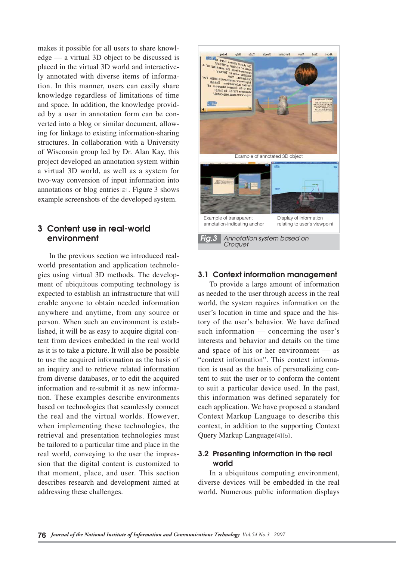makes it possible for all users to share knowledge — a virtual 3D object to be discussed is placed in the virtual 3D world and interactively annotated with diverse items of information. In this manner, users can easily share knowledge regardless of limitations of time and space. In addition, the knowledge provided by a user in annotation form can be converted into a blog or similar document, allowing for linkage to existing information-sharing structures. In collaboration with a University of Wisconsin group led by Dr. Alan Kay, this project developed an annotation system within a virtual 3D world, as well as a system for two-way conversion of input information into annotations or blog entries[2]. Figure 3 shows example screenshots of the developed system.

### **3 Content use in real-world environment**

In the previous section we introduced realworld presentation and application technologies using virtual 3D methods. The development of ubiquitous computing technology is expected to establish an infrastructure that will enable anyone to obtain needed information anywhere and anytime, from any source or person. When such an environment is established, it will be as easy to acquire digital content from devices embedded in the real world as it is to take a picture. It will also be possible to use the acquired information as the basis of an inquiry and to retrieve related information from diverse databases, or to edit the acquired information and re-submit it as new information. These examples describe environments based on technologies that seamlessly connect the real and the virtual worlds. However, when implementing these technologies, the retrieval and presentation technologies must be tailored to a particular time and place in the real world, conveying to the user the impression that the digital content is customized to that moment, place, and user. This section describes research and development aimed at addressing these challenges.



### **3.1 Context information management**

To provide a large amount of information as needed to the user through access in the real world, the system requires information on the user's location in time and space and the history of the user's behavior. We have defined such information — concerning the user's interests and behavior and details on the time and space of his or her environment — as "context information". This context information is used as the basis of personalizing content to suit the user or to conform the content to suit a particular device used. In the past, this information was defined separately for each application. We have proposed a standard Context Markup Language to describe this context, in addition to the supporting Context Query Markup Language[4][5].

## **3.2 Presenting information in the real world**

In a ubiquitous computing environment, diverse devices will be embedded in the real world. Numerous public information displays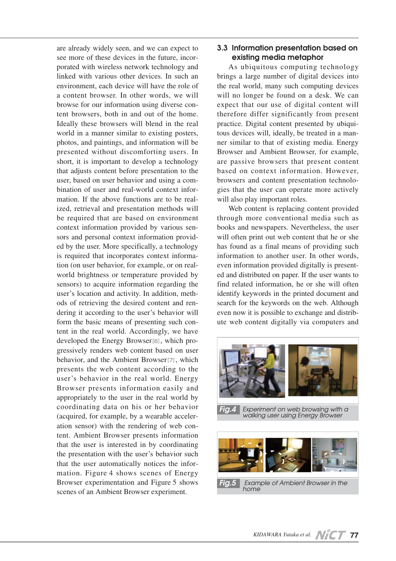are already widely seen, and we can expect to see more of these devices in the future, incorporated with wireless network technology and linked with various other devices. In such an environment, each device will have the role of a content browser. In other words, we will browse for our information using diverse content browsers, both in and out of the home. Ideally these browsers will blend in the real world in a manner similar to existing posters, photos, and paintings, and information will be presented without discomforting users. In short, it is important to develop a technology that adjusts content before presentation to the user, based on user behavior and using a combination of user and real-world context information. If the above functions are to be realized, retrieval and presentation methods will be required that are based on environment context information provided by various sensors and personal context information provided by the user. More specifically, a technology is required that incorporates context information (on user behavior, for example, or on realworld brightness or temperature provided by sensors) to acquire information regarding the user's location and activity. In addition, methods of retrieving the desired content and rendering it according to the user's behavior will form the basic means of presenting such content in the real world. Accordingly, we have developed the Energy Browser[6], which progressively renders web content based on user behavior, and the Ambient Browser[7], which presents the web content according to the user's behavior in the real world. Energy Browser presents information easily and appropriately to the user in the real world by coordinating data on his or her behavior (acquired, for example, by a wearable acceleration sensor) with the rendering of web content. Ambient Browser presents information that the user is interested in by coordinating the presentation with the user's behavior such that the user automatically notices the information. Figure 4 shows scenes of Energy Browser experimentation and Figure 5 shows scenes of an Ambient Browser experiment.

### **3.3 Information presentation based on existing media metaphor**

As ubiquitous computing technology brings a large number of digital devices into the real world, many such computing devices will no longer be found on a desk. We can expect that our use of digital content will therefore differ significantly from present practice. Digital content presented by ubiquitous devices will, ideally, be treated in a manner similar to that of existing media. Energy Browser and Ambient Browser, for example, are passive browsers that present content based on context information. However, browsers and content presentation technologies that the user can operate more actively will also play important roles.

Web content is replacing content provided through more conventional media such as books and newspapers. Nevertheless, the user will often print out web content that he or she has found as a final means of providing such information to another user. In other words, even information provided digitally is presented and distributed on paper. If the user wants to find related information, he or she will often identify keywords in the printed document and search for the keywords on the web. Although even now it is possible to exchange and distribute web content digitally via computers and



*Fig.5 Example of Ambient Browser in the home*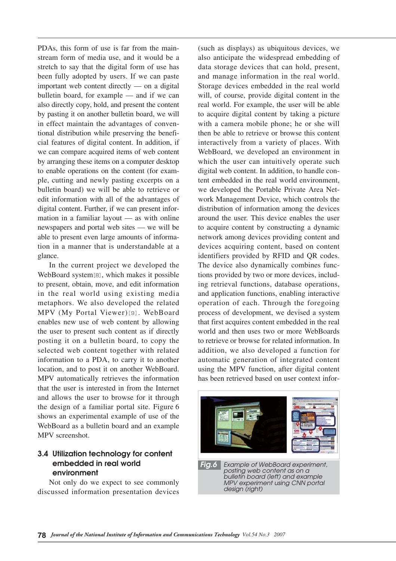PDAs, this form of use is far from the mainstream form of media use, and it would be a stretch to say that the digital form of use has been fully adopted by users. If we can paste important web content directly — on a digital bulletin board, for example — and if we can also directly copy, hold, and present the content by pasting it on another bulletin board, we will in effect maintain the advantages of conventional distribution while preserving the beneficial features of digital content. In addition, if we can compare acquired items of web content by arranging these items on a computer desktop to enable operations on the content (for example, cutting and newly pasting excerpts on a bulletin board) we will be able to retrieve or edit information with all of the advantages of digital content. Further, if we can present information in a familiar layout — as with online newspapers and portal web sites — we will be able to present even large amounts of information in a manner that is understandable at a glance.

In the current project we developed the WebBoard system[8], which makes it possible to present, obtain, move, and edit information in the real world using existing media metaphors. We also developed the related MPV (My Portal Viewer)[9]. WebBoard enables new use of web content by allowing the user to present such content as if directly posting it on a bulletin board, to copy the selected web content together with related information to a PDA, to carry it to another location, and to post it on another WebBoard. MPV automatically retrieves the information that the user is interested in from the Internet and allows the user to browse for it through the design of a familiar portal site. Figure 6 shows an experimental example of use of the WebBoard as a bulletin board and an example MPV screenshot.

# **3.4 Utilization technology for content embedded in real world environment**

Not only do we expect to see commonly discussed information presentation devices

(such as displays) as ubiquitous devices, we also anticipate the widespread embedding of data storage devices that can hold, present, and manage information in the real world. Storage devices embedded in the real world will, of course, provide digital content in the real world. For example, the user will be able to acquire digital content by taking a picture with a camera mobile phone; he or she will then be able to retrieve or browse this content interactively from a variety of places. With WebBoard, we developed an environment in which the user can intuitively operate such digital web content. In addition, to handle content embedded in the real world environment, we developed the Portable Private Area Network Management Device, which controls the distribution of information among the devices around the user. This device enables the user to acquire content by constructing a dynamic network among devices providing content and devices acquiring content, based on content identifiers provided by RFID and QR codes. The device also dynamically combines functions provided by two or more devices, including retrieval functions, database operations, and application functions, enabling interactive operation of each. Through the foregoing process of development, we devised a system that first acquires content embedded in the real world and then uses two or more WebBoards to retrieve or browse for related information. In addition, we also developed a function for automatic generation of integrated content using the MPV function, after digital content has been retrieved based on user context infor-



*posting web content as on a bulletin board (left) and example MPV experiment using CNN portal design (right)*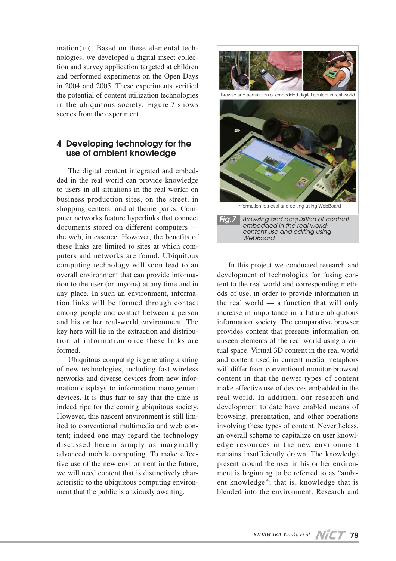mation[10]. Based on these elemental technologies, we developed a digital insect collection and survey application targeted at children and performed experiments on the Open Days in 2004 and 2005. These experiments verified the potential of content utilization technologies in the ubiquitous society. Figure 7 shows scenes from the experiment.

# **4 Developing technology for the use of ambient knowledge**

The digital content integrated and embedded in the real world can provide knowledge to users in all situations in the real world: on business production sites, on the street, in shopping centers, and at theme parks. Computer networks feature hyperlinks that connect documents stored on different computers the web, in essence. However, the benefits of these links are limited to sites at which computers and networks are found. Ubiquitous computing technology will soon lead to an overall environment that can provide information to the user (or anyone) at any time and in any place. In such an environment, information links will be formed through contact among people and contact between a person and his or her real-world environment. The key here will lie in the extraction and distribution of information once these links are formed.

Ubiquitous computing is generating a string of new technologies, including fast wireless networks and diverse devices from new information displays to information management devices. It is thus fair to say that the time is indeed ripe for the coming ubiquitous society. However, this nascent environment is still limited to conventional multimedia and web content; indeed one may regard the technology discussed herein simply as marginally advanced mobile computing. To make effective use of the new environment in the future, we will need content that is distinctively characteristic to the ubiquitous computing environment that the public is anxiously awaiting.



In this project we conducted research and development of technologies for fusing content to the real world and corresponding methods of use, in order to provide information in the real world — a function that will only increase in importance in a future ubiquitous information society. The comparative browser provides content that presents information on unseen elements of the real world using a virtual space. Virtual 3D content in the real world and content used in current media metaphors will differ from conventional monitor-browsed content in that the newer types of content make effective use of devices embedded in the real world. In addition, our research and development to date have enabled means of browsing, presentation, and other operations involving these types of content. Nevertheless, an overall scheme to capitalize on user knowledge resources in the new environment remains insufficiently drawn. The knowledge present around the user in his or her environment is beginning to be referred to as "ambient knowledge"; that is, knowledge that is blended into the environment. Research and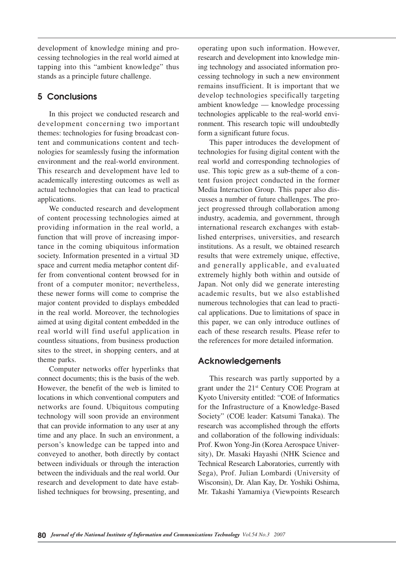development of knowledge mining and processing technologies in the real world aimed at tapping into this "ambient knowledge" thus stands as a principle future challenge.

# **5 Conclusions**

In this project we conducted research and development concerning two important themes: technologies for fusing broadcast content and communications content and technologies for seamlessly fusing the information environment and the real-world environment. This research and development have led to academically interesting outcomes as well as actual technologies that can lead to practical applications.

We conducted research and development of content processing technologies aimed at providing information in the real world, a function that will prove of increasing importance in the coming ubiquitous information society. Information presented in a virtual 3D space and current media metaphor content differ from conventional content browsed for in front of a computer monitor; nevertheless, these newer forms will come to comprise the major content provided to displays embedded in the real world. Moreover, the technologies aimed at using digital content embedded in the real world will find useful application in countless situations, from business production sites to the street, in shopping centers, and at theme parks.

Computer networks offer hyperlinks that connect documents; this is the basis of the web. However, the benefit of the web is limited to locations in which conventional computers and networks are found. Ubiquitous computing technology will soon provide an environment that can provide information to any user at any time and any place. In such an environment, a person's knowledge can be tapped into and conveyed to another, both directly by contact between individuals or through the interaction between the individuals and the real world. Our research and development to date have established techniques for browsing, presenting, and operating upon such information. However, research and development into knowledge mining technology and associated information processing technology in such a new environment remains insufficient. It is important that we develop technologies specifically targeting ambient knowledge — knowledge processing technologies applicable to the real-world environment. This research topic will undoubtedly form a significant future focus.

This paper introduces the development of technologies for fusing digital content with the real world and corresponding technologies of use. This topic grew as a sub-theme of a content fusion project conducted in the former Media Interaction Group. This paper also discusses a number of future challenges. The project progressed through collaboration among industry, academia, and government, through international research exchanges with established enterprises, universities, and research institutions. As a result, we obtained research results that were extremely unique, effective, and generally applicable, and evaluated extremely highly both within and outside of Japan. Not only did we generate interesting academic results, but we also established numerous technologies that can lead to practical applications. Due to limitations of space in this paper, we can only introduce outlines of each of these research results. Please refer to the references for more detailed information.

# **Acknowledgements**

This research was partly supported by a grant under the 21<sup>st</sup> Century COE Program at Kyoto University entitled: "COE of Informatics for the Infrastructure of a Knowledge-Based Society" (COE leader: Katsumi Tanaka). The research was accomplished through the efforts and collaboration of the following individuals: Prof. Kwon Yong-Jin (Korea Aerospace University), Dr. Masaki Hayashi (NHK Science and Technical Research Laboratories, currently with Sega), Prof. Julian Lombardi (University of Wisconsin), Dr. Alan Kay, Dr. Yoshiki Oshima, Mr. Takashi Yamamiya (Viewpoints Research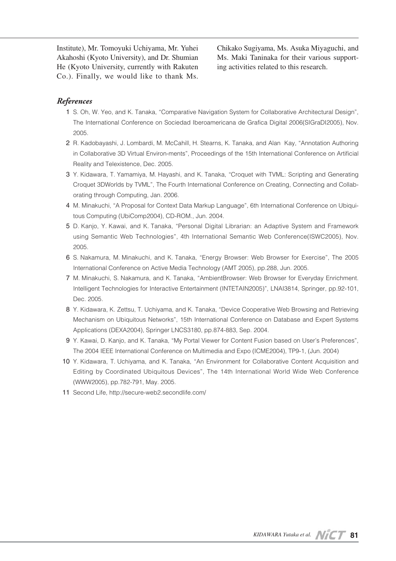Institute), Mr. Tomoyuki Uchiyama, Mr. Yuhei Akahoshi (Kyoto University), and Dr. Shumian He (Kyoto University, currently with Rakuten Co.). Finally, we would like to thank Ms.

Chikako Sugiyama, Ms. Asuka Miyaguchi, and Ms. Maki Taninaka for their various supporting activities related to this research.

### *References*

- 01 S. Oh, W. Yeo, and K. Tanaka, "Comparative Navigation System for Collaborative Architectural Design", The International Conference on Sociedad Iberoamericana de Grafica Digital 2006(SIGraDI2005), Nov. 2005.
- 2 R. Kadobayashi, J. Lombardi, M. McCahill, H. Stearns, K. Tanaka, and Alan Kay, "Annotation Authoring in Collaborative 3D Virtual Environ-ments", Proceedings of the 15th International Conference on Artificial Reality and Telexistence, Dec. 2005.
- 3 Y. Kidawara, T. Yamamiya, M. Hayashi, and K. Tanaka, "Croquet with TVML: Scripting and Generating Croquet 3DWorlds by TVML", The Fourth International Conference on Creating, Connecting and Collaborating through Computing, Jan. 2006.
- 04 M. Minakuchi, "A Proposal for Context Data Markup Language", 6th International Conference on Ubiquitous Computing (UbiComp2004), CD-ROM., Jun. 2004.
- 05 D. Kanjo, Y. Kawai, and K. Tanaka, "Personal Digital Librarian: an Adaptive System and Framework using Semantic Web Technologies", 4th International Semantic Web Conference(ISWC2005), Nov. 2005.
- 06 S. Nakamura, M. Minakuchi, and K. Tanaka, "Energy Browser: Web Browser for Exercise", The 2005 International Conference on Active Media Technology (AMT 2005), pp.288, Jun. 2005.
- 07 M. Minakuchi, S. Nakamura, and K. Tanaka, "AmbientBrowser: Web Browser for Everyday Enrichment. Intelligent Technologies for Interactive Entertainment (INTETAIN2005)", LNAI3814, Springer, pp.92-101, Dec. 2005.
- 8 Y. Kidawara, K. Zettsu, T. Uchiyama, and K. Tanaka, "Device Cooperative Web Browsing and Retrieving Mechanism on Ubiquitous Networks", 15th International Conference on Database and Expert Systems Applications (DEXA2004), Springer LNCS3180, pp.874-883, Sep. 2004.
- 09 Y. Kawai, D. Kanjo, and K. Tanaka, "My Portal Viewer for Content Fusion based on User's Preferences", The 2004 IEEE International Conference on Multimedia and Expo (ICME2004), TP9-1, (Jun. 2004)
- 10 Y. Kidawara, T. Uchiyama, and K. Tanaka, "An Environment for Collaborative Content Acquisition and Editing by Coordinated Ubiquitous Devices", The 14th International World Wide Web Conference (WWW2005), pp.782-791, May. 2005.
- 11 Second Life, http://secure-web2.secondlife.com/